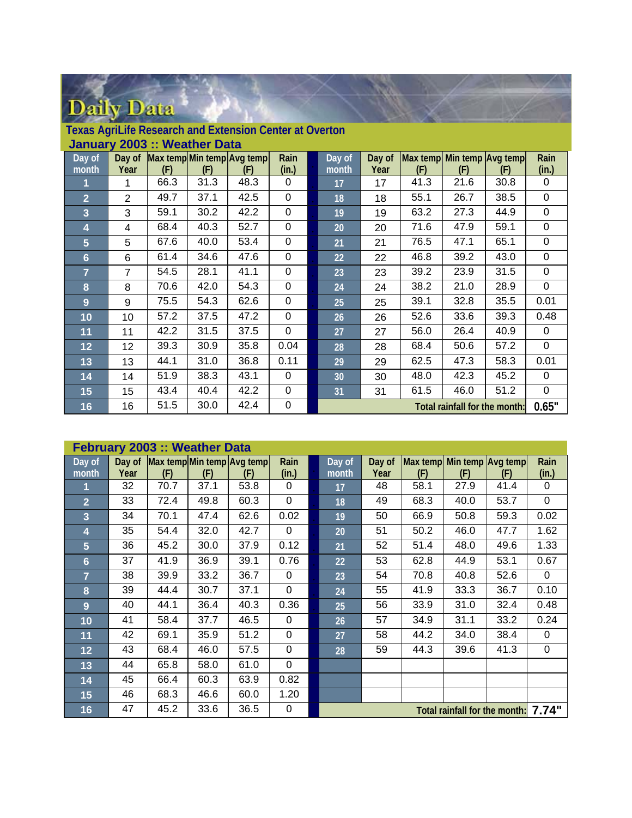## Daily Data

|                     |                 |      | January 2003 :: Weather Data |                            |             |        |        |      |                               |      |             |
|---------------------|-----------------|------|------------------------------|----------------------------|-------------|--------|--------|------|-------------------------------|------|-------------|
| $\overline{Day}$ of | Day of          |      |                              | Max temp Min temp Avg temp | Rain        | Day of | Day of |      | Max temp Min temp Avg temp    |      | Rain        |
| month               | Year            | (F)  | (F)                          | (F)                        | (in.)       | month  | Year   | (F)  | (F)                           | (F)  | (in.)       |
| 1                   | 1               | 66.3 | 31.3                         | 48.3                       | 0           | 17     | 17     | 41.3 | 21.6                          | 30.8 | 0           |
| $\overline{2}$      | $\overline{2}$  | 49.7 | 37.1                         | 42.5                       | 0           | 18     | 18     | 55.1 | 26.7                          | 38.5 | $\mathbf 0$ |
| 3                   | 3               | 59.1 | 30.2                         | 42.2                       | $\Omega$    | 19     | 19     | 63.2 | 27.3                          | 44.9 | $\mathbf 0$ |
| 4                   | $\overline{4}$  | 68.4 | 40.3                         | 52.7                       | 0           | 20     | 20     | 71.6 | 47.9                          | 59.1 | 0           |
| $5\phantom{.}$      | 5               | 67.6 | 40.0                         | 53.4                       | 0           | 21     | 21     | 76.5 | 47.1                          | 65.1 | $\mathbf 0$ |
| $6\phantom{1}$      | 6               | 61.4 | 34.6                         | 47.6                       | $\mathbf 0$ | 22     | 22     | 46.8 | 39.2                          | 43.0 | $\mathbf 0$ |
| $\overline{7}$      | $\overline{7}$  | 54.5 | 28.1                         | 41.1                       | 0           | 23     | 23     | 39.2 | 23.9                          | 31.5 | 0           |
| 8                   | 8               | 70.6 | 42.0                         | 54.3                       | 0           | 24     | 24     | 38.2 | 21.0                          | 28.9 | 0           |
| 9                   | 9               | 75.5 | 54.3                         | 62.6                       | 0           | 25     | 25     | 39.1 | 32.8                          | 35.5 | 0.01        |
| 10                  | 10              | 57.2 | 37.5                         | 47.2                       | 0           | 26     | 26     | 52.6 | 33.6                          | 39.3 | 0.48        |
| 11                  | 11              | 42.2 | 31.5                         | 37.5                       | 0           | 27     | 27     | 56.0 | 26.4                          | 40.9 | 0           |
| 12                  | 12 <sub>2</sub> | 39.3 | 30.9                         | 35.8                       | 0.04        | 28     | 28     | 68.4 | 50.6                          | 57.2 | $\mathbf 0$ |
| 13                  | 13              | 44.1 | 31.0                         | 36.8                       | 0.11        | 29     | 29     | 62.5 | 47.3                          | 58.3 | 0.01        |
| 14                  | 14              | 51.9 | 38.3                         | 43.1                       | $\Omega$    | 30     | 30     | 48.0 | 42.3                          | 45.2 | 0           |
| 15                  | 15              | 43.4 | 40.4                         | 42.2                       | 0           | 31     | 31     | 61.5 | 46.0                          | 51.2 | $\pmb{0}$   |
| 16                  | 16              | 51.5 | 30.0                         | 42.4                       | 0           |        |        |      | Total rainfall for the month: |      | 0.65"       |

|  |  | Texas AgriLife Research and Extension Center at Overton |  |
|--|--|---------------------------------------------------------|--|

|                     |        | <b>February 2003 :: Weather Data</b> |      |                            |          |        |        |                            |      |                               |             |
|---------------------|--------|--------------------------------------|------|----------------------------|----------|--------|--------|----------------------------|------|-------------------------------|-------------|
| $\overline{$ Day of | Day of |                                      |      | Max temp Min temp Avg temp | Rain     | Day of | Day of | Max temp Min temp Avg temp |      |                               | Rain        |
| month               | Year   | (F)                                  | (F)  | (F)                        | (in.)    | month  | Year   | (F)                        | (F)  | (F)                           | (in.)       |
|                     | 32     | 70.7                                 | 37.1 | 53.8                       | $\Omega$ | 17     | 48     | 58.1                       | 27.9 | 41.4                          | 0           |
| $\overline{2}$      | 33     | 72.4                                 | 49.8 | 60.3                       | 0        | 18     | 49     | 68.3                       | 40.0 | 53.7                          | $\mathbf 0$ |
| 3                   | 34     | 70.1                                 | 47.4 | 62.6                       | 0.02     | 19     | 50     | 66.9                       | 50.8 | 59.3                          | 0.02        |
| 4                   | 35     | 54.4                                 | 32.0 | 42.7                       | $\Omega$ | 20     | 51     | 50.2                       | 46.0 | 47.7                          | 1.62        |
| 5                   | 36     | 45.2                                 | 30.0 | 37.9                       | 0.12     | 21     | 52     | 51.4                       | 48.0 | 49.6                          | 1.33        |
| $\ddot{\mathbf{6}}$ | 37     | 41.9                                 | 36.9 | 39.1                       | 0.76     | 22     | 53     | 62.8                       | 44.9 | 53.1                          | 0.67        |
| $\overline{7}$      | 38     | 39.9                                 | 33.2 | 36.7                       | $\Omega$ | 23     | 54     | 70.8                       | 40.8 | 52.6                          | $\mathbf 0$ |
| 8                   | 39     | 44.4                                 | 30.7 | 37.1                       | 0        | 24     | 55     | 41.9                       | 33.3 | 36.7                          | 0.10        |
| 9                   | 40     | 44.1                                 | 36.4 | 40.3                       | 0.36     | 25     | 56     | 33.9                       | 31.0 | 32.4                          | 0.48        |
| 10                  | 41     | 58.4                                 | 37.7 | 46.5                       | $\Omega$ | 26     | 57     | 34.9                       | 31.1 | 33.2                          | 0.24        |
| 11                  | 42     | 69.1                                 | 35.9 | 51.2                       | 0        | 27     | 58     | 44.2                       | 34.0 | 38.4                          | 0           |
| 12                  | 43     | 68.4                                 | 46.0 | 57.5                       | 0        | 28     | 59     | 44.3                       | 39.6 | 41.3                          | $\mathbf 0$ |
| 13                  | 44     | 65.8                                 | 58.0 | 61.0                       | 0        |        |        |                            |      |                               |             |
| 14                  | 45     | 66.4                                 | 60.3 | 63.9                       | 0.82     |        |        |                            |      |                               |             |
| 15                  | 46     | 68.3                                 | 46.6 | 60.0                       | 1.20     |        |        |                            |      |                               |             |
| 16                  | 47     | 45.2                                 | 33.6 | 36.5                       | 0        |        |        |                            |      | Total rainfall for the month: | 7.74"       |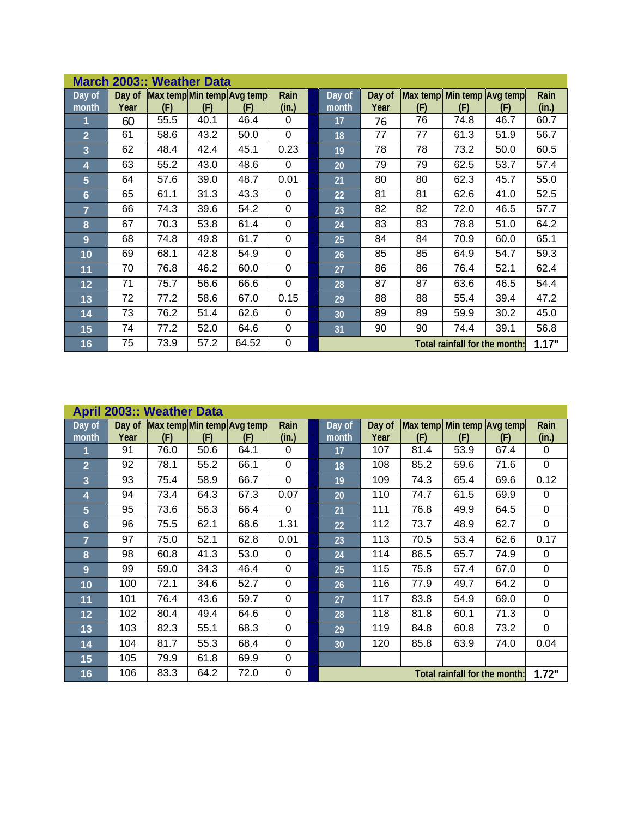|                         |      | <b>March 2003:: Weather Data</b> |      |                                          |               |                 |                |                                   |                               |      |               |
|-------------------------|------|----------------------------------|------|------------------------------------------|---------------|-----------------|----------------|-----------------------------------|-------------------------------|------|---------------|
| Day of<br>month         | Year | (F)                              | (F)  | Day of Max temp Min temp Avg temp<br>(F) | Rain<br>(in.) | Day of<br>month | Day of<br>Year | Max temp Min temp Avg temp<br>(F) | (F)                           | (F)  | Rain<br>(in.) |
| 1                       | 60   | 55.5                             | 40.1 | 46.4                                     | $\Omega$      | 17              | 76             | 76                                | 74.8                          | 46.7 | 60.7          |
| $\overline{2}$          | 61   | 58.6                             | 43.2 | 50.0                                     | $\mathbf 0$   | 18              | 77             | 77                                | 61.3                          | 51.9 | 56.7          |
| $\overline{\mathbf{3}}$ | 62   | 48.4                             | 42.4 | 45.1                                     | 0.23          | 19              | 78             | 78                                | 73.2                          | 50.0 | 60.5          |
| 4                       | 63   | 55.2                             | 43.0 | 48.6                                     | $\Omega$      | 20              | 79             | 79                                | 62.5                          | 53.7 | 57.4          |
| $5\phantom{.}$          | 64   | 57.6                             | 39.0 | 48.7                                     | 0.01          | 21              | 80             | 80                                | 62.3                          | 45.7 | 55.0          |
| 6                       | 65   | 61.1                             | 31.3 | 43.3                                     | $\Omega$      | 22              | 81             | 81                                | 62.6                          | 41.0 | 52.5          |
| $\overline{7}$          | 66   | 74.3                             | 39.6 | 54.2                                     | $\mathbf 0$   | 23              | 82             | 82                                | 72.0                          | 46.5 | 57.7          |
| 8                       | 67   | 70.3                             | 53.8 | 61.4                                     | $\mathbf 0$   | 24              | 83             | 83                                | 78.8                          | 51.0 | 64.2          |
| 9                       | 68   | 74.8                             | 49.8 | 61.7                                     | $\mathbf 0$   | 25              | 84             | 84                                | 70.9                          | 60.0 | 65.1          |
| 10                      | 69   | 68.1                             | 42.8 | 54.9                                     | $\mathbf 0$   | 26              | 85             | 85                                | 64.9                          | 54.7 | 59.3          |
| 11                      | 70   | 76.8                             | 46.2 | 60.0                                     | $\mathbf 0$   | 27              | 86             | 86                                | 76.4                          | 52.1 | 62.4          |
| 12                      | 71   | 75.7                             | 56.6 | 66.6                                     | 0             | 28              | 87             | 87                                | 63.6                          | 46.5 | 54.4          |
| 13                      | 72   | 77.2                             | 58.6 | 67.0                                     | 0.15          | 29              | 88             | 88                                | 55.4                          | 39.4 | 47.2          |
| 14                      | 73   | 76.2                             | 51.4 | 62.6                                     | $\Omega$      | 30 <sup>°</sup> | 89             | 89                                | 59.9                          | 30.2 | 45.0          |
| 15                      | 74   | 77.2                             | 52.0 | 64.6                                     | $\mathbf 0$   | 31              | 90             | 90                                | 74.4                          | 39.1 | 56.8          |
| 16                      | 75   | 73.9                             | 57.2 | 64.52                                    | 0             |                 |                |                                   | Total rainfall for the month: |      | 1.17"         |

|                 |                | <b>April 2003:: Weather Data</b> |      |                                   |                |                               |                |                                   |      |      |               |  |  |
|-----------------|----------------|----------------------------------|------|-----------------------------------|----------------|-------------------------------|----------------|-----------------------------------|------|------|---------------|--|--|
| Day of<br>month | Day of<br>Year | (F)                              | (F)  | Max temp Min temp Avg temp<br>(F) | Rain<br>(in.)  | Day of<br>month               | Day of<br>Year | Max temp Min temp Avg temp<br>(F) | (F)  | (F)  | Rain<br>(in.) |  |  |
| 1               | 91             | 76.0                             | 50.6 | 64.1                              | $\Omega$       | 17                            | 107            | 81.4                              | 53.9 | 67.4 | 0             |  |  |
| $\overline{2}$  | 92             | 78.1                             | 55.2 | 66.1                              | $\overline{0}$ | 18                            | 108            | 85.2                              | 59.6 | 71.6 | $\mathbf 0$   |  |  |
| 3               | 93             | 75.4                             | 58.9 | 66.7                              | $\overline{0}$ | 19                            | 109            | 74.3                              | 65.4 | 69.6 | 0.12          |  |  |
| 4               | 94             | 73.4                             | 64.3 | 67.3                              | 0.07           | 20                            | 110            | 74.7                              | 61.5 | 69.9 | 0             |  |  |
| 5               | 95             | 73.6                             | 56.3 | 66.4                              | 0              | 21                            | 111            | 76.8                              | 49.9 | 64.5 | $\mathbf 0$   |  |  |
| $6\phantom{1}6$ | 96             | 75.5                             | 62.1 | 68.6                              | 1.31           | 22                            | 112            | 73.7                              | 48.9 | 62.7 | $\mathbf 0$   |  |  |
| $\overline{7}$  | 97             | 75.0                             | 52.1 | 62.8                              | 0.01           | 23                            | 113            | 70.5                              | 53.4 | 62.6 | 0.17          |  |  |
| 8               | 98             | 60.8                             | 41.3 | 53.0                              | $\Omega$       | 24                            | 114            | 86.5                              | 65.7 | 74.9 | 0             |  |  |
| 9               | 99             | 59.0                             | 34.3 | 46.4                              | $\Omega$       | 25                            | 115            | 75.8                              | 57.4 | 67.0 | 0             |  |  |
| 10              | 100            | 72.1                             | 34.6 | 52.7                              | $\Omega$       | 26                            | 116            | 77.9                              | 49.7 | 64.2 | $\mathbf 0$   |  |  |
| 11              | 101            | 76.4                             | 43.6 | 59.7                              | $\Omega$       | 27                            | 117            | 83.8                              | 54.9 | 69.0 | $\mathbf 0$   |  |  |
| 12              | 102            | 80.4                             | 49.4 | 64.6                              | $\Omega$       | 28                            | 118            | 81.8                              | 60.1 | 71.3 | 0             |  |  |
| 13              | 103            | 82.3                             | 55.1 | 68.3                              | $\Omega$       | 29                            | 119            | 84.8                              | 60.8 | 73.2 | $\Omega$      |  |  |
| 14              | 104            | 81.7                             | 55.3 | 68.4                              | $\Omega$       | 30                            | 120            | 85.8                              | 63.9 | 74.0 | 0.04          |  |  |
| 15              | 105            | 79.9                             | 61.8 | 69.9                              | 0              |                               |                |                                   |      |      |               |  |  |
| 16              | 106            | 83.3                             | 64.2 | 72.0                              | $\mathbf 0$    | Total rainfall for the month: |                |                                   |      |      |               |  |  |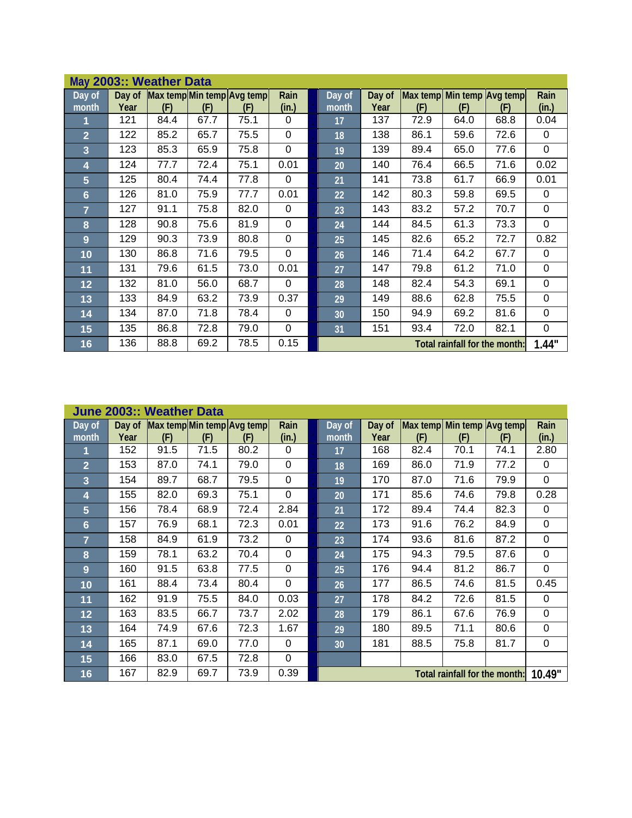|                 |      | May 2003:: Weather Data |      |                                          |               |                 |                               |                                   |      |      |               |
|-----------------|------|-------------------------|------|------------------------------------------|---------------|-----------------|-------------------------------|-----------------------------------|------|------|---------------|
| Day of<br>month | Year | (F)                     | (F)  | Day of Max temp Min temp Avg temp<br>(F) | Rain<br>(in.) | Day of<br>month | Day of<br>Year                | Max temp Min temp Avg temp<br>(F) | (F)  | (F)  | Rain<br>(in.) |
| 1               | 121  | 84.4                    | 67.7 | 75.1                                     | 0             | 17              | 137                           | 72.9                              | 64.0 | 68.8 | 0.04          |
| $\overline{2}$  | 122  | 85.2                    | 65.7 | 75.5                                     | 0             | 18              | 138                           | 86.1                              | 59.6 | 72.6 | 0             |
| 3               | 123  | 85.3                    | 65.9 | 75.8                                     | $\mathbf 0$   | 19              | 139                           | 89.4                              | 65.0 | 77.6 | 0             |
| 4               | 124  | 77.7                    | 72.4 | 75.1                                     | 0.01          | 20              | 140                           | 76.4                              | 66.5 | 71.6 | 0.02          |
| $5\phantom{.}$  | 125  | 80.4                    | 74.4 | 77.8                                     | $\mathbf 0$   | 21              | 141                           | 73.8                              | 61.7 | 66.9 | 0.01          |
| 6               | 126  | 81.0                    | 75.9 | 77.7                                     | 0.01          | 22              | 142                           | 80.3                              | 59.8 | 69.5 | 0             |
| $\overline{7}$  | 127  | 91.1                    | 75.8 | 82.0                                     | $\Omega$      | 23              | 143                           | 83.2                              | 57.2 | 70.7 | 0             |
| 8               | 128  | 90.8                    | 75.6 | 81.9                                     | $\mathbf 0$   | 24              | 144                           | 84.5                              | 61.3 | 73.3 | 0             |
| 9               | 129  | 90.3                    | 73.9 | 80.8                                     | $\mathbf 0$   | 25              | 145                           | 82.6                              | 65.2 | 72.7 | 0.82          |
| 10              | 130  | 86.8                    | 71.6 | 79.5                                     | $\mathbf 0$   | 26              | 146                           | 71.4                              | 64.2 | 67.7 | 0             |
| 11              | 131  | 79.6                    | 61.5 | 73.0                                     | 0.01          | 27              | 147                           | 79.8                              | 61.2 | 71.0 | 0             |
| 12              | 132  | 81.0                    | 56.0 | 68.7                                     | $\mathbf 0$   | 28              | 148                           | 82.4                              | 54.3 | 69.1 | 0             |
| 13              | 133  | 84.9                    | 63.2 | 73.9                                     | 0.37          | 29              | 149                           | 88.6                              | 62.8 | 75.5 | 0             |
| 14              | 134  | 87.0                    | 71.8 | 78.4                                     | $\Omega$      | 30              | 150                           | 94.9                              | 69.2 | 81.6 | 0             |
| 15              | 135  | 86.8                    | 72.8 | 79.0                                     | $\mathbf 0$   | 31              | 151                           | 93.4                              | 72.0 | 82.1 | 0             |
| 16              | 136  | 88.8                    | 69.2 | 78.5                                     | 0.15          |                 | Total rainfall for the month: | 1.44"                             |      |      |               |

|                              |                | June 2003:: Weather Data |      |                                  |               |                 |                               |                                   |      |      |               |
|------------------------------|----------------|--------------------------|------|----------------------------------|---------------|-----------------|-------------------------------|-----------------------------------|------|------|---------------|
| $\overline{Day}$ of<br>month | Day of<br>Year | (F)                      | (F)  | Max tempMin temp Avg temp<br>(F) | Rain<br>(in.) | Day of<br>month | Day of<br>Year                | Max temp Min temp Avg temp<br>(F) | (F)  | (F)  | Rain<br>(in.) |
| 1                            | 152            | 91.5                     | 71.5 | 80.2                             | $\Omega$      | 17              | 168                           | 82.4                              | 70.1 | 74.1 | 2.80          |
| $\overline{2}$               | 153            | 87.0                     | 74.1 | 79.0                             | 0             | 18              | 169                           | 86.0                              | 71.9 | 77.2 | 0             |
| $\overline{3}$               | 154            | 89.7                     | 68.7 | 79.5                             | $\Omega$      | 19              | 170                           | 87.0                              | 71.6 | 79.9 | $\mathbf 0$   |
| 4                            | 155            | 82.0                     | 69.3 | 75.1                             | 0             | 20              | 171                           | 85.6                              | 74.6 | 79.8 | 0.28          |
| 5                            | 156            | 78.4                     | 68.9 | 72.4                             | 2.84          | 21              | 172                           | 89.4                              | 74.4 | 82.3 | 0             |
| $6\phantom{1}6$              | 157            | 76.9                     | 68.1 | 72.3                             | 0.01          | 22              | 173                           | 91.6                              | 76.2 | 84.9 | 0             |
| $\overline{7}$               | 158            | 84.9                     | 61.9 | 73.2                             | $\Omega$      | 23              | 174                           | 93.6                              | 81.6 | 87.2 | 0             |
| $\overline{\mathbf{8}}$      | 159            | 78.1                     | 63.2 | 70.4                             | $\Omega$      | 24              | 175                           | 94.3                              | 79.5 | 87.6 | 0             |
| 9                            | 160            | 91.5                     | 63.8 | 77.5                             | $\mathbf 0$   | 25              | 176                           | 94.4                              | 81.2 | 86.7 | $\mathbf 0$   |
| 10                           | 161            | 88.4                     | 73.4 | 80.4                             | $\mathbf 0$   | 26              | 177                           | 86.5                              | 74.6 | 81.5 | 0.45          |
| 11                           | 162            | 91.9                     | 75.5 | 84.0                             | 0.03          | 27              | 178                           | 84.2                              | 72.6 | 81.5 | 0             |
| 12                           | 163            | 83.5                     | 66.7 | 73.7                             | 2.02          | 28              | 179                           | 86.1                              | 67.6 | 76.9 | 0             |
| 13                           | 164            | 74.9                     | 67.6 | 72.3                             | 1.67          | 29              | 180                           | 89.5                              | 71.1 | 80.6 | 0             |
| 14                           | 165            | 87.1                     | 69.0 | 77.0                             | $\Omega$      | 30 <sup>°</sup> | 181                           | 88.5                              | 75.8 | 81.7 | 0             |
| 15                           | 166            | 83.0                     | 67.5 | 72.8                             | 0             |                 |                               |                                   |      |      |               |
| 16                           | 167            | 82.9                     | 69.7 | 73.9                             | 0.39          |                 | Total rainfall for the month: | 10.49"                            |      |      |               |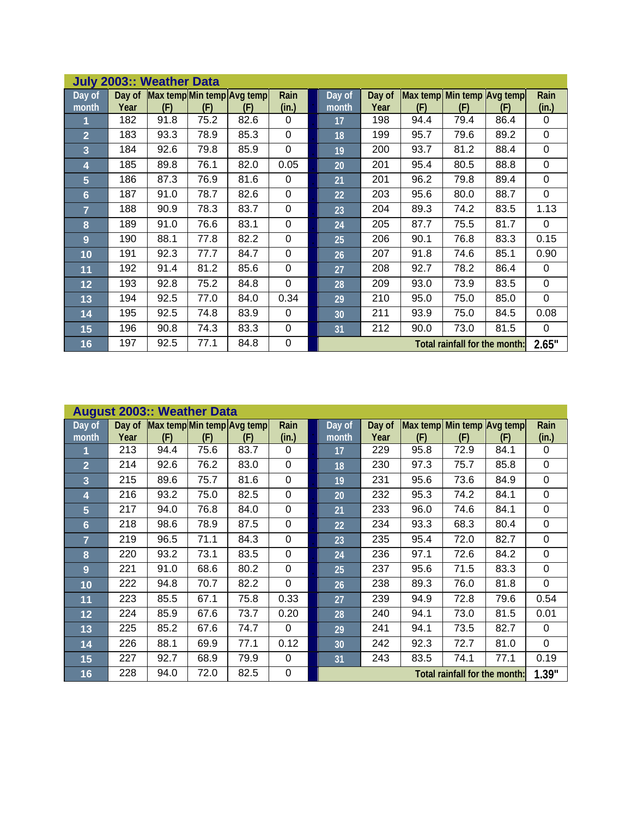|                         |      | <b>July 2003:: Weather Data</b> |      |                                          |                |                 |                               |                                   |      |      |                |
|-------------------------|------|---------------------------------|------|------------------------------------------|----------------|-----------------|-------------------------------|-----------------------------------|------|------|----------------|
| Day of<br>month         | Year | (F)                             | (F)  | Day of Max temp Min temp Avg temp<br>(F) | Rain<br>(in.)  | Day of<br>month | Day of<br>Year                | Max temp Min temp Avg temp<br>(F) | (F)  | (F)  | Rain<br>(in.)  |
| 1                       | 182  | 91.8                            | 75.2 | 82.6                                     | $\Omega$       | 17              | 198                           | 94.4                              | 79.4 | 86.4 | 0              |
| $\overline{2}$          | 183  | 93.3                            | 78.9 | 85.3                                     | $\overline{0}$ | 18              | 199                           | 95.7                              | 79.6 | 89.2 | 0              |
| $\overline{\mathbf{3}}$ | 184  | 92.6                            | 79.8 | 85.9                                     | $\overline{0}$ | 19              | 200                           | 93.7                              | 81.2 | 88.4 | 0              |
| 4                       | 185  | 89.8                            | 76.1 | 82.0                                     | 0.05           | 20              | 201                           | 95.4                              | 80.5 | 88.8 | 0              |
| $5\phantom{.}$          | 186  | 87.3                            | 76.9 | 81.6                                     | $\Omega$       | 21              | 201                           | 96.2                              | 79.8 | 89.4 | 0              |
| 6                       | 187  | 91.0                            | 78.7 | 82.6                                     | $\Omega$       | 22              | 203                           | 95.6                              | 80.0 | 88.7 | $\overline{0}$ |
| $\overline{7}$          | 188  | 90.9                            | 78.3 | 83.7                                     | $\mathbf 0$    | 23              | 204                           | 89.3                              | 74.2 | 83.5 | 1.13           |
| 8                       | 189  | 91.0                            | 76.6 | 83.1                                     | $\mathbf 0$    | 24              | 205                           | 87.7                              | 75.5 | 81.7 | $\mathbf 0$    |
| 9                       | 190  | 88.1                            | 77.8 | 82.2                                     | $\mathbf 0$    | 25              | 206                           | 90.1                              | 76.8 | 83.3 | 0.15           |
| 10                      | 191  | 92.3                            | 77.7 | 84.7                                     | $\overline{0}$ | 26              | 207                           | 91.8                              | 74.6 | 85.1 | 0.90           |
| 11                      | 192  | 91.4                            | 81.2 | 85.6                                     | $\mathbf 0$    | 27              | 208                           | 92.7                              | 78.2 | 86.4 | 0              |
| 12                      | 193  | 92.8                            | 75.2 | 84.8                                     | $\mathbf 0$    | 28              | 209                           | 93.0                              | 73.9 | 83.5 | 0              |
| 13                      | 194  | 92.5                            | 77.0 | 84.0                                     | 0.34           | 29              | 210                           | 95.0                              | 75.0 | 85.0 | 0              |
| 14                      | 195  | 92.5                            | 74.8 | 83.9                                     | $\Omega$       | 30 <sup>°</sup> | 211                           | 93.9                              | 75.0 | 84.5 | 0.08           |
| 15                      | 196  | 90.8                            | 74.3 | 83.3                                     | 0              | 31              | 212                           | 90.0                              | 73.0 | 81.5 | 0              |
| 16                      | 197  | 92.5                            | 77.1 | 84.8                                     | $\mathbf 0$    |                 | Total rainfall for the month: | 2.65"                             |      |      |                |

| Day of         |      |      |      | Day of Max temp Min temp Avg temp | Rain        | Day of | Day of | Max temp Min temp Avg temp |      |                               | Rain        |
|----------------|------|------|------|-----------------------------------|-------------|--------|--------|----------------------------|------|-------------------------------|-------------|
| month          | Year | (F)  | (F)  | (F)                               | (in.)       | month  | Year   | (F)                        | (F)  | (F)                           | (in.)       |
|                | 213  | 94.4 | 75.6 | 83.7                              | $\Omega$    | 17     | 229    | 95.8                       | 72.9 | 84.1                          | $\Omega$    |
| $\overline{2}$ | 214  | 92.6 | 76.2 | 83.0                              | $\mathbf 0$ | 18     | 230    | 97.3                       | 75.7 | 85.8                          | $\mathbf 0$ |
| 3              | 215  | 89.6 | 75.7 | 81.6                              | $\mathbf 0$ | 19     | 231    | 95.6                       | 73.6 | 84.9                          | $\mathbf 0$ |
| 4              | 216  | 93.2 | 75.0 | 82.5                              | $\mathbf 0$ | 20     | 232    | 95.3                       | 74.2 | 84.1                          | $\Omega$    |
| $5\phantom{.}$ | 217  | 94.0 | 76.8 | 84.0                              | $\mathbf 0$ | 21     | 233    | 96.0                       | 74.6 | 84.1                          | $\mathbf 0$ |
| $6\phantom{1}$ | 218  | 98.6 | 78.9 | 87.5                              | $\mathbf 0$ | 22     | 234    | 93.3                       | 68.3 | 80.4                          | $\mathbf 0$ |
| $\overline{7}$ | 219  | 96.5 | 71.1 | 84.3                              | $\mathbf 0$ | 23     | 235    | 95.4                       | 72.0 | 82.7                          | $\mathbf 0$ |
| 8              | 220  | 93.2 | 73.1 | 83.5                              | $\mathbf 0$ | 24     | 236    | 97.1                       | 72.6 | 84.2                          | $\mathbf 0$ |
| 9              | 221  | 91.0 | 68.6 | 80.2                              | 0           | 25     | 237    | 95.6                       | 71.5 | 83.3                          | $\Omega$    |
| 10             | 222  | 94.8 | 70.7 | 82.2                              | $\mathbf 0$ | 26     | 238    | 89.3                       | 76.0 | 81.8                          | $\mathbf 0$ |
| 11             | 223  | 85.5 | 67.1 | 75.8                              | 0.33        | 27     | 239    | 94.9                       | 72.8 | 79.6                          | 0.54        |
| 12             | 224  | 85.9 | 67.6 | 73.7                              | 0.20        | 28     | 240    | 94.1                       | 73.0 | 81.5                          | 0.01        |
| 13             | 225  | 85.2 | 67.6 | 74.7                              | $\mathbf 0$ | 29     | 241    | 94.1                       | 73.5 | 82.7                          | $\Omega$    |
| 14             | 226  | 88.1 | 69.9 | 77.1                              | 0.12        | 30     | 242    | 92.3                       | 72.7 | 81.0                          | $\Omega$    |
| 15             | 227  | 92.7 | 68.9 | 79.9                              | $\mathbf 0$ | 31     | 243    | 83.5                       | 74.1 | 77.1                          | 0.19        |
| 16             | 228  | 94.0 | 72.0 | 82.5                              | $\mathsf 0$ |        |        |                            |      | Total rainfall for the month: | 1.39"       |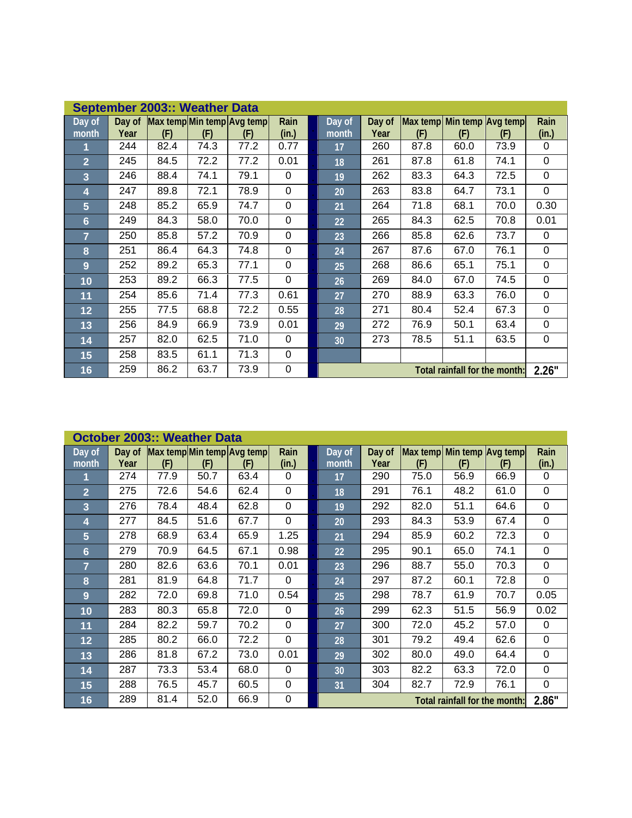|                |        | September 2003:: Weather Data |      |                            |                |                 |                               |                            |      |      |       |
|----------------|--------|-------------------------------|------|----------------------------|----------------|-----------------|-------------------------------|----------------------------|------|------|-------|
| Day of         | Day of |                               |      | Max temp Min temp Avg temp | Rain           | Day of          | Day of                        | Max temp Min temp Avg temp |      |      | Rain  |
| month          | Year   | (F)                           | (F)  | (F)                        | (in.)          | month           | Year                          | (F)                        | (F)  | (F)  | (in.) |
| 1              | 244    | 82.4                          | 74.3 | 77.2                       | 0.77           | 17              | 260                           | 87.8                       | 60.0 | 73.9 | 0     |
| $\overline{2}$ | 245    | 84.5                          | 72.2 | 77.2                       | 0.01           | 18              | 261                           | 87.8                       | 61.8 | 74.1 | 0     |
| $\overline{3}$ | 246    | 88.4                          | 74.1 | 79.1                       | 0              | 19              | 262                           | 83.3                       | 64.3 | 72.5 | 0     |
| 4              | 247    | 89.8                          | 72.1 | 78.9                       | $\mathbf 0$    | 20              | 263                           | 83.8                       | 64.7 | 73.1 | 0     |
| 5              | 248    | 85.2                          | 65.9 | 74.7                       | $\mathbf 0$    | 21              | 264                           | 71.8                       | 68.1 | 70.0 | 0.30  |
| 6              | 249    | 84.3                          | 58.0 | 70.0                       | $\mathbf 0$    | 22              | 265                           | 84.3                       | 62.5 | 70.8 | 0.01  |
| $\overline{7}$ | 250    | 85.8                          | 57.2 | 70.9                       | $\mathbf 0$    | 23              | 266                           | 85.8                       | 62.6 | 73.7 | 0     |
| 8              | 251    | 86.4                          | 64.3 | 74.8                       | $\mathbf 0$    | 24              | 267                           | 87.6                       | 67.0 | 76.1 | 0     |
| 9              | 252    | 89.2                          | 65.3 | 77.1                       | $\overline{0}$ | 25              | 268                           | 86.6                       | 65.1 | 75.1 | 0     |
| 10             | 253    | 89.2                          | 66.3 | 77.5                       | $\overline{0}$ | 26              | 269                           | 84.0                       | 67.0 | 74.5 | 0     |
| 11             | 254    | 85.6                          | 71.4 | 77.3                       | 0.61           | 27              | 270                           | 88.9                       | 63.3 | 76.0 | 0     |
| 12             | 255    | 77.5                          | 68.8 | 72.2                       | 0.55           | 28              | 271                           | 80.4                       | 52.4 | 67.3 | 0     |
| 13             | 256    | 84.9                          | 66.9 | 73.9                       | 0.01           | 29              | 272                           | 76.9                       | 50.1 | 63.4 | 0     |
| 14             | 257    | 82.0                          | 62.5 | 71.0                       | $\Omega$       | 30 <sup>°</sup> | 273                           | 78.5                       | 51.1 | 63.5 | 0     |
| 15             | 258    | 83.5                          | 61.1 | 71.3                       | $\Omega$       |                 |                               |                            |      |      |       |
| 16             | 259    | 86.2                          | 63.7 | 73.9                       | 0              |                 | Total rainfall for the month: | 2.26"                      |      |      |       |

|                         |        | October 2003:: Weather Data |      |                            |             |                 |                               |                            |      |      |             |
|-------------------------|--------|-----------------------------|------|----------------------------|-------------|-----------------|-------------------------------|----------------------------|------|------|-------------|
| Day of                  | Day of |                             |      | Max temp Min temp Avg temp | Rain        | Day of          | Day of                        | Max temp Min temp Avg temp |      |      | Rain        |
| month                   | Year   | (F)                         | (F)  | (F)                        | (in.)       | month           | Year                          | (F)                        | (F)  | (F)  | (in.)       |
| 1                       | 274    | 77.9                        | 50.7 | 63.4                       | 0           | 17              | 290                           | 75.0                       | 56.9 | 66.9 | 0           |
| $\overline{2}$          | 275    | 72.6                        | 54.6 | 62.4                       | $\mathbf 0$ | 18              | 291                           | 76.1                       | 48.2 | 61.0 | $\mathbf 0$ |
| $\overline{\mathbf{3}}$ | 276    | 78.4                        | 48.4 | 62.8                       | $\mathbf 0$ | 19              | 292                           | 82.0                       | 51.1 | 64.6 | 0           |
| 4                       | 277    | 84.5                        | 51.6 | 67.7                       | $\mathbf 0$ | 20              | 293                           | 84.3                       | 53.9 | 67.4 | $\mathbf 0$ |
| 5                       | 278    | 68.9                        | 63.4 | 65.9                       | 1.25        | 21              | 294                           | 85.9                       | 60.2 | 72.3 | 0           |
| $6\phantom{1}6$         | 279    | 70.9                        | 64.5 | 67.1                       | 0.98        | 22              | 295                           | 90.1                       | 65.0 | 74.1 | 0           |
| $\overline{7}$          | 280    | 82.6                        | 63.6 | 70.1                       | 0.01        | 23              | 296                           | 88.7                       | 55.0 | 70.3 | 0           |
| 8                       | 281    | 81.9                        | 64.8 | 71.7                       | $\Omega$    | 24              | 297                           | 87.2                       | 60.1 | 72.8 | $\mathbf 0$ |
| 9                       | 282    | 72.0                        | 69.8 | 71.0                       | 0.54        | 25              | 298                           | 78.7                       | 61.9 | 70.7 | 0.05        |
| 10                      | 283    | 80.3                        | 65.8 | 72.0                       | 0           | 26              | 299                           | 62.3                       | 51.5 | 56.9 | 0.02        |
| 11                      | 284    | 82.2                        | 59.7 | 70.2                       | $\Omega$    | 27              | 300                           | 72.0                       | 45.2 | 57.0 | $\Omega$    |
| 12                      | 285    | 80.2                        | 66.0 | 72.2                       | $\Omega$    | 28              | 301                           | 79.2                       | 49.4 | 62.6 | 0           |
| 13                      | 286    | 81.8                        | 67.2 | 73.0                       | 0.01        | 29              | 302                           | 80.0                       | 49.0 | 64.4 | 0           |
| 14                      | 287    | 73.3                        | 53.4 | 68.0                       | $\Omega$    | 30 <sup>°</sup> | 303                           | 82.2                       | 63.3 | 72.0 | 0           |
| 15                      | 288    | 76.5                        | 45.7 | 60.5                       | $\Omega$    | 31              | 304                           | 82.7                       | 72.9 | 76.1 | 0           |
| 16                      | 289    | 81.4                        | 52.0 | 66.9                       | 0           |                 | Total rainfall for the month: | 2.86"                      |      |      |             |